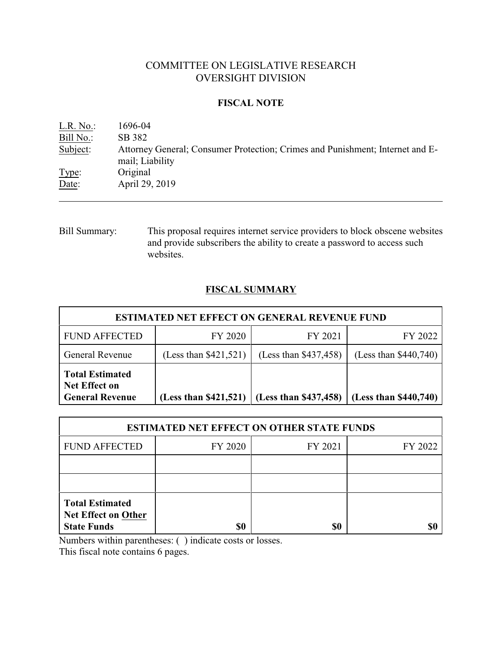# COMMITTEE ON LEGISLATIVE RESEARCH OVERSIGHT DIVISION

### **FISCAL NOTE**

| L.R. No.  | 1696-04                                                                                          |
|-----------|--------------------------------------------------------------------------------------------------|
| Bill No.: | SB 382                                                                                           |
| Subject:  | Attorney General; Consumer Protection; Crimes and Punishment; Internet and E-<br>mail; Liability |
| Type:     | Original                                                                                         |
| Date:     | April 29, 2019                                                                                   |

Bill Summary: This proposal requires internet service providers to block obscene websites and provide subscribers the ability to create a password to access such websites.

# **FISCAL SUMMARY**

| <b>ESTIMATED NET EFFECT ON GENERAL REVENUE FUND</b>                      |                         |                         |                         |  |  |
|--------------------------------------------------------------------------|-------------------------|-------------------------|-------------------------|--|--|
| <b>FUND AFFECTED</b>                                                     | FY 2020                 | FY 2021                 | FY 2022                 |  |  |
| <b>General Revenue</b>                                                   | (Less than $$421,521$ ) | (Less than \$437,458)   | (Less than $$440,740$ ) |  |  |
| <b>Total Estimated</b><br><b>Net Effect on</b><br><b>General Revenue</b> | (Less than \$421,521)   | (Less than $$437,458$ ) | (Less than $$440,740$ ) |  |  |

| <b>ESTIMATED NET EFFECT ON OTHER STATE FUNDS</b>                           |         |         |         |  |  |
|----------------------------------------------------------------------------|---------|---------|---------|--|--|
| <b>FUND AFFECTED</b>                                                       | FY 2020 | FY 2021 | FY 2022 |  |  |
|                                                                            |         |         |         |  |  |
|                                                                            |         |         |         |  |  |
| <b>Total Estimated</b><br><b>Net Effect on Other</b><br><b>State Funds</b> |         | \$0     |         |  |  |

Numbers within parentheses: ( ) indicate costs or losses.

This fiscal note contains 6 pages.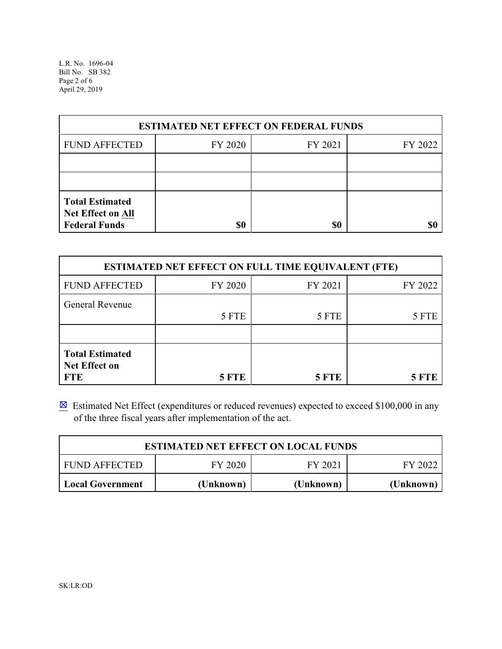L.R. No. 1696-04 Bill No. SB 382 Page 2 of 6 April 29, 2019

| <b>ESTIMATED NET EFFECT ON FEDERAL FUNDS</b>                        |         |         |         |  |  |
|---------------------------------------------------------------------|---------|---------|---------|--|--|
| <b>FUND AFFECTED</b>                                                | FY 2020 | FY 2021 | FY 2022 |  |  |
|                                                                     |         |         |         |  |  |
|                                                                     |         |         |         |  |  |
| <b>Total Estimated</b><br>Net Effect on All<br><b>Federal Funds</b> | \$0     | \$0     |         |  |  |

| <b>ESTIMATED NET EFFECT ON FULL TIME EQUIVALENT (FTE)</b>    |              |              |              |  |  |
|--------------------------------------------------------------|--------------|--------------|--------------|--|--|
| <b>FUND AFFECTED</b>                                         | FY 2020      | FY 2021      | FY 2022      |  |  |
| <b>General Revenue</b>                                       | 5 FTE        | 5 FTE        | 5 FTE        |  |  |
| <b>Total Estimated</b><br><b>Net Effect on</b><br><b>FTE</b> | <b>5 FTE</b> | <b>5 FTE</b> | <b>5 FTE</b> |  |  |

 $\boxtimes$  Estimated Net Effect (expenditures or reduced revenues) expected to exceed \$100,000 in any of the three fiscal years after implementation of the act.

| <b>ESTIMATED NET EFFECT ON LOCAL FUNDS</b>            |           |           |           |  |  |
|-------------------------------------------------------|-----------|-----------|-----------|--|--|
| FY 2020<br>FY 2021<br><b>FUND AFFECTED</b><br>FY 2022 |           |           |           |  |  |
| <b>Local Government</b>                               | (Unknown) | (Unknown) | (Unknown) |  |  |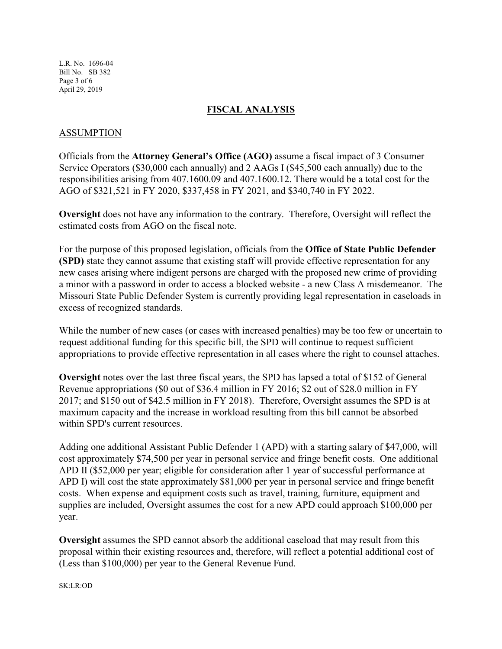L.R. No. 1696-04 Bill No. SB 382 Page 3 of 6 April 29, 2019

### **FISCAL ANALYSIS**

### ASSUMPTION

Officials from the **Attorney General's Office (AGO)** assume a fiscal impact of 3 Consumer Service Operators (\$30,000 each annually) and 2 AAGs I (\$45,500 each annually) due to the responsibilities arising from 407.1600.09 and 407.1600.12. There would be a total cost for the AGO of \$321,521 in FY 2020, \$337,458 in FY 2021, and \$340,740 in FY 2022.

**Oversight** does not have any information to the contrary. Therefore, Oversight will reflect the estimated costs from AGO on the fiscal note.

For the purpose of this proposed legislation, officials from the **Office of State Public Defender (SPD)** state they cannot assume that existing staff will provide effective representation for any new cases arising where indigent persons are charged with the proposed new crime of providing a minor with a password in order to access a blocked website - a new Class A misdemeanor. The Missouri State Public Defender System is currently providing legal representation in caseloads in excess of recognized standards.

While the number of new cases (or cases with increased penalties) may be too few or uncertain to request additional funding for this specific bill, the SPD will continue to request sufficient appropriations to provide effective representation in all cases where the right to counsel attaches.

**Oversight** notes over the last three fiscal years, the SPD has lapsed a total of \$152 of General Revenue appropriations (\$0 out of \$36.4 million in FY 2016; \$2 out of \$28.0 million in FY 2017; and \$150 out of \$42.5 million in FY 2018). Therefore, Oversight assumes the SPD is at maximum capacity and the increase in workload resulting from this bill cannot be absorbed within SPD's current resources.

Adding one additional Assistant Public Defender 1 (APD) with a starting salary of \$47,000, will cost approximately \$74,500 per year in personal service and fringe benefit costs. One additional APD II (\$52,000 per year; eligible for consideration after 1 year of successful performance at APD I) will cost the state approximately \$81,000 per year in personal service and fringe benefit costs. When expense and equipment costs such as travel, training, furniture, equipment and supplies are included, Oversight assumes the cost for a new APD could approach \$100,000 per year.

**Oversight** assumes the SPD cannot absorb the additional caseload that may result from this proposal within their existing resources and, therefore, will reflect a potential additional cost of (Less than \$100,000) per year to the General Revenue Fund.

SK:LR:OD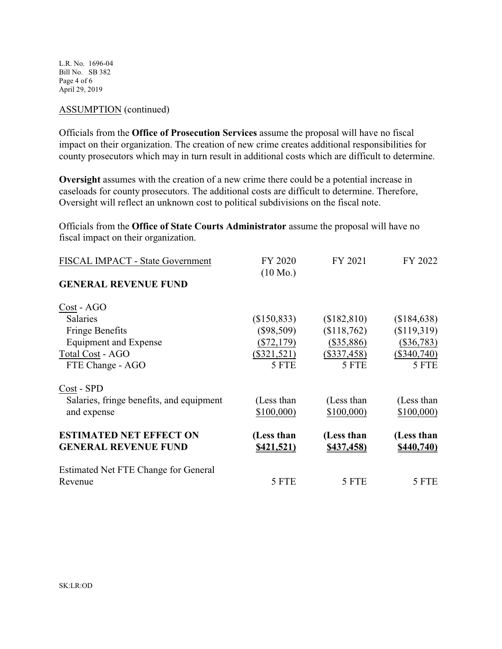L.R. No. 1696-04 Bill No. SB 382 Page 4 of 6 April 29, 2019

#### ASSUMPTION (continued)

Officials from the **Office of Prosecution Services** assume the proposal will have no fiscal impact on their organization. The creation of new crime creates additional responsibilities for county prosecutors which may in turn result in additional costs which are difficult to determine.

**Oversight** assumes with the creation of a new crime there could be a potential increase in caseloads for county prosecutors. The additional costs are difficult to determine. Therefore, Oversight will reflect an unknown cost to political subdivisions on the fiscal note.

Officials from the **Office of State Courts Administrator** assume the proposal will have no fiscal impact on their organization.

| FISCAL IMPACT - State Government         | FY 2020            | FY 2021           | FY 2022       |
|------------------------------------------|--------------------|-------------------|---------------|
|                                          | $(10 \text{ Mo.})$ |                   |               |
| <b>GENERAL REVENUE FUND</b>              |                    |                   |               |
| Cost - AGO                               |                    |                   |               |
| <b>Salaries</b>                          | (\$150,833)        | (\$182,810)       | (\$184,638)   |
| <b>Fringe Benefits</b>                   | $(\$98,509)$       | \$118,762         | (\$119,319)   |
| <b>Equipment and Expense</b>             | $(\$72,179)$       | $(\$35,886)$      | $(\$36,783)$  |
| Total Cost - AGO                         | $(\$321,521)$      | $(\$337,458)$     | $(\$340,740)$ |
| FTE Change - AGO                         | 5 FTE              | 5 FTE             | 5 FTE         |
| Cost - SPD                               |                    |                   |               |
| Salaries, fringe benefits, and equipment | (Less than         | (Less than        | (Less than    |
| and expense                              | \$100,000          | \$100,000         | \$100,000     |
| <b>ESTIMATED NET EFFECT ON</b>           | (Less than         | (Less than        | (Less than    |
| <b>GENERAL REVENUE FUND</b>              | <u>\$421,521)</u>  | <u>\$437,458)</u> | \$440,740     |
| Estimated Net FTE Change for General     |                    |                   |               |
| Revenue                                  | 5 FTE              | 5 FTE             | 5 FTE         |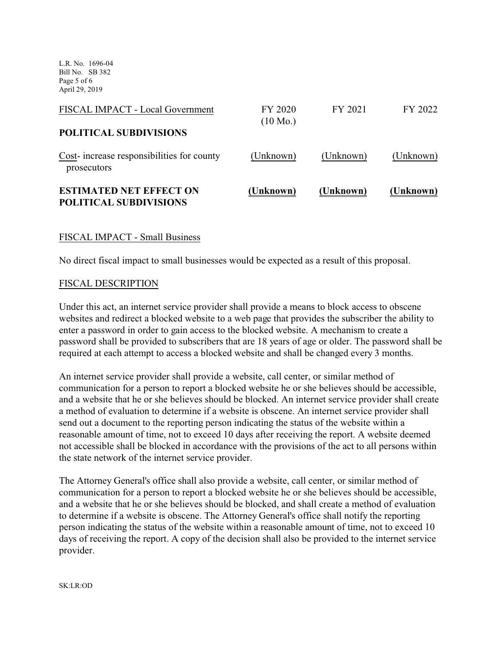L.R. No. 1696-04 Bill No. SB 382 Page 5 of 6 April 29, 2019

| <b>ESTIMATED NET EFFECT ON</b><br><b>POLITICAL SUBDIVISIONS</b> | (Unknown)                     | (Unknown) | (Unknown) |
|-----------------------------------------------------------------|-------------------------------|-----------|-----------|
| Cost-increase responsibilities for county<br>prosecutors        | (Unknown)                     | (Unknown) | (Unknown) |
| <b>POLITICAL SUBDIVISIONS</b>                                   |                               |           |           |
| FISCAL IMPACT - Local Government                                | FY 2020<br>$(10 \text{ Mo.})$ | FY 2021   | FY 2022   |

#### FISCAL IMPACT - Small Business

No direct fiscal impact to small businesses would be expected as a result of this proposal.

#### FISCAL DESCRIPTION

Under this act, an internet service provider shall provide a means to block access to obscene websites and redirect a blocked website to a web page that provides the subscriber the ability to enter a password in order to gain access to the blocked website. A mechanism to create a password shall be provided to subscribers that are 18 years of age or older. The password shall be required at each attempt to access a blocked website and shall be changed every 3 months.

An internet service provider shall provide a website, call center, or similar method of communication for a person to report a blocked website he or she believes should be accessible, and a website that he or she believes should be blocked. An internet service provider shall create a method of evaluation to determine if a website is obscene. An internet service provider shall send out a document to the reporting person indicating the status of the website within a reasonable amount of time, not to exceed 10 days after receiving the report. A website deemed not accessible shall be blocked in accordance with the provisions of the act to all persons within the state network of the internet service provider.

The Attorney General's office shall also provide a website, call center, or similar method of communication for a person to report a blocked website he or she believes should be accessible, and a website that he or she believes should be blocked, and shall create a method of evaluation to determine if a website is obscene. The Attorney General's office shall notify the reporting person indicating the status of the website within a reasonable amount of time, not to exceed 10 days of receiving the report. A copy of the decision shall also be provided to the internet service provider.